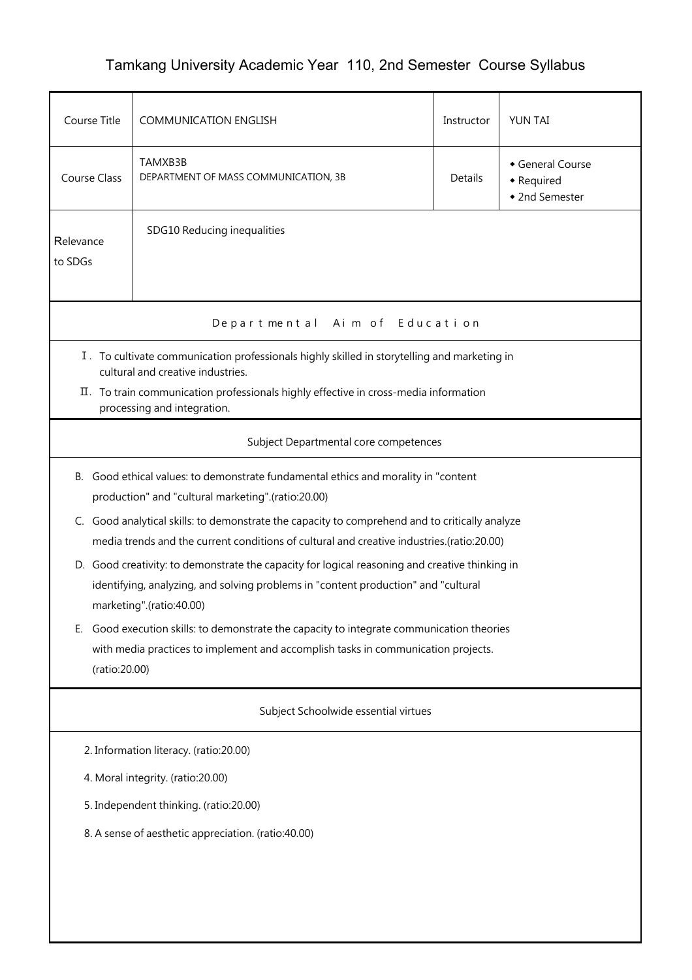## Tamkang University Academic Year 110, 2nd Semester Course Syllabus

| Course Title                                                                                                                                                                                                                                                                                                                                                                                                                                                                                                                                                                                                                                                                                                                                                                | <b>COMMUNICATION ENGLISH</b>                    |                | YUN TAI                                        |  |  |  |  |
|-----------------------------------------------------------------------------------------------------------------------------------------------------------------------------------------------------------------------------------------------------------------------------------------------------------------------------------------------------------------------------------------------------------------------------------------------------------------------------------------------------------------------------------------------------------------------------------------------------------------------------------------------------------------------------------------------------------------------------------------------------------------------------|-------------------------------------------------|----------------|------------------------------------------------|--|--|--|--|
| <b>Course Class</b>                                                                                                                                                                                                                                                                                                                                                                                                                                                                                                                                                                                                                                                                                                                                                         | TAMXB3B<br>DEPARTMENT OF MASS COMMUNICATION, 3B | <b>Details</b> | General Course<br>• Required<br>• 2nd Semester |  |  |  |  |
| SDG10 Reducing inequalities<br>Relevance<br>to SDGs                                                                                                                                                                                                                                                                                                                                                                                                                                                                                                                                                                                                                                                                                                                         |                                                 |                |                                                |  |  |  |  |
|                                                                                                                                                                                                                                                                                                                                                                                                                                                                                                                                                                                                                                                                                                                                                                             | Departmental Aim of Education                   |                |                                                |  |  |  |  |
| I. To cultivate communication professionals highly skilled in storytelling and marketing in<br>cultural and creative industries.<br>II. To train communication professionals highly effective in cross-media information<br>processing and integration.                                                                                                                                                                                                                                                                                                                                                                                                                                                                                                                     |                                                 |                |                                                |  |  |  |  |
|                                                                                                                                                                                                                                                                                                                                                                                                                                                                                                                                                                                                                                                                                                                                                                             | Subject Departmental core competences           |                |                                                |  |  |  |  |
| Good ethical values: to demonstrate fundamental ethics and morality in "content<br><b>B.</b><br>production" and "cultural marketing".(ratio:20.00)<br>C. Good analytical skills: to demonstrate the capacity to comprehend and to critically analyze<br>media trends and the current conditions of cultural and creative industries.(ratio:20.00)<br>D. Good creativity: to demonstrate the capacity for logical reasoning and creative thinking in<br>identifying, analyzing, and solving problems in "content production" and "cultural<br>marketing".(ratio:40.00)<br>Good execution skills: to demonstrate the capacity to integrate communication theories<br>Е.<br>with media practices to implement and accomplish tasks in communication projects.<br>(ratio:20.00) |                                                 |                |                                                |  |  |  |  |
| Subject Schoolwide essential virtues                                                                                                                                                                                                                                                                                                                                                                                                                                                                                                                                                                                                                                                                                                                                        |                                                 |                |                                                |  |  |  |  |
| 2. Information literacy. (ratio:20.00)                                                                                                                                                                                                                                                                                                                                                                                                                                                                                                                                                                                                                                                                                                                                      |                                                 |                |                                                |  |  |  |  |
| 4. Moral integrity. (ratio:20.00)                                                                                                                                                                                                                                                                                                                                                                                                                                                                                                                                                                                                                                                                                                                                           |                                                 |                |                                                |  |  |  |  |
| 5. Independent thinking. (ratio:20.00)                                                                                                                                                                                                                                                                                                                                                                                                                                                                                                                                                                                                                                                                                                                                      |                                                 |                |                                                |  |  |  |  |
| 8. A sense of aesthetic appreciation. (ratio:40.00)                                                                                                                                                                                                                                                                                                                                                                                                                                                                                                                                                                                                                                                                                                                         |                                                 |                |                                                |  |  |  |  |
|                                                                                                                                                                                                                                                                                                                                                                                                                                                                                                                                                                                                                                                                                                                                                                             |                                                 |                |                                                |  |  |  |  |
|                                                                                                                                                                                                                                                                                                                                                                                                                                                                                                                                                                                                                                                                                                                                                                             |                                                 |                |                                                |  |  |  |  |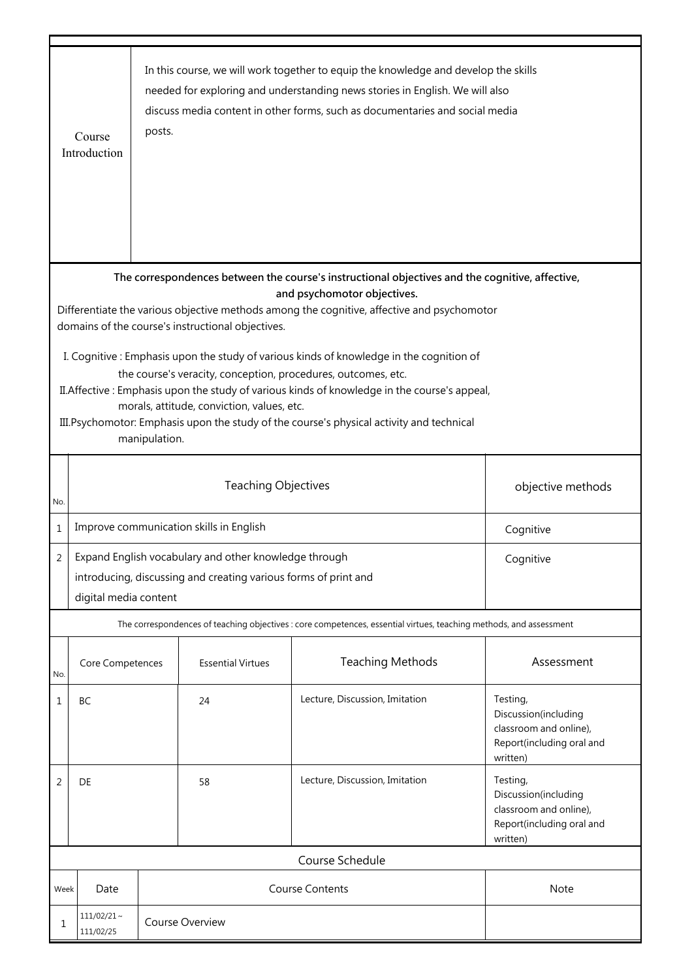|                                                                                                                                                                                                                                                                                                                                                                                                                                                                                                                                                                                                                                                                                                           | Course<br>Introduction                          | posts.                                                                                                                                |                          | In this course, we will work together to equip the knowledge and develop the skills<br>needed for exploring and understanding news stories in English. We will also<br>discuss media content in other forms, such as documentaries and social media |                                                                                                     |  |
|-----------------------------------------------------------------------------------------------------------------------------------------------------------------------------------------------------------------------------------------------------------------------------------------------------------------------------------------------------------------------------------------------------------------------------------------------------------------------------------------------------------------------------------------------------------------------------------------------------------------------------------------------------------------------------------------------------------|-------------------------------------------------|---------------------------------------------------------------------------------------------------------------------------------------|--------------------------|-----------------------------------------------------------------------------------------------------------------------------------------------------------------------------------------------------------------------------------------------------|-----------------------------------------------------------------------------------------------------|--|
| The correspondences between the course's instructional objectives and the cognitive, affective,<br>and psychomotor objectives.<br>Differentiate the various objective methods among the cognitive, affective and psychomotor<br>domains of the course's instructional objectives.<br>I. Cognitive: Emphasis upon the study of various kinds of knowledge in the cognition of<br>the course's veracity, conception, procedures, outcomes, etc.<br>II. Affective: Emphasis upon the study of various kinds of knowledge in the course's appeal,<br>morals, attitude, conviction, values, etc.<br>III. Psychomotor: Emphasis upon the study of the course's physical activity and technical<br>manipulation. |                                                 |                                                                                                                                       |                          |                                                                                                                                                                                                                                                     |                                                                                                     |  |
| No.                                                                                                                                                                                                                                                                                                                                                                                                                                                                                                                                                                                                                                                                                                       | <b>Teaching Objectives</b><br>objective methods |                                                                                                                                       |                          |                                                                                                                                                                                                                                                     |                                                                                                     |  |
| $\mathbf{1}$                                                                                                                                                                                                                                                                                                                                                                                                                                                                                                                                                                                                                                                                                              |                                                 | Improve communication skills in English<br>Cognitive                                                                                  |                          |                                                                                                                                                                                                                                                     |                                                                                                     |  |
| 2                                                                                                                                                                                                                                                                                                                                                                                                                                                                                                                                                                                                                                                                                                         | digital media content                           | Expand English vocabulary and other knowledge through<br>Cognitive<br>introducing, discussing and creating various forms of print and |                          |                                                                                                                                                                                                                                                     |                                                                                                     |  |
| The correspondences of teaching objectives : core competences, essential virtues, teaching methods, and assessment                                                                                                                                                                                                                                                                                                                                                                                                                                                                                                                                                                                        |                                                 |                                                                                                                                       |                          |                                                                                                                                                                                                                                                     |                                                                                                     |  |
| No.                                                                                                                                                                                                                                                                                                                                                                                                                                                                                                                                                                                                                                                                                                       | Core Competences                                |                                                                                                                                       | <b>Essential Virtues</b> | <b>Teaching Methods</b>                                                                                                                                                                                                                             | Assessment                                                                                          |  |
| 1                                                                                                                                                                                                                                                                                                                                                                                                                                                                                                                                                                                                                                                                                                         | BC                                              |                                                                                                                                       | 24                       | Lecture, Discussion, Imitation                                                                                                                                                                                                                      | Testing,<br>Discussion(including<br>classroom and online),<br>Report(including oral and<br>written) |  |
| 2                                                                                                                                                                                                                                                                                                                                                                                                                                                                                                                                                                                                                                                                                                         | DE                                              |                                                                                                                                       | 58                       | Lecture, Discussion, Imitation                                                                                                                                                                                                                      | Testing,<br>Discussion(including<br>classroom and online),<br>Report(including oral and<br>written) |  |
|                                                                                                                                                                                                                                                                                                                                                                                                                                                                                                                                                                                                                                                                                                           |                                                 |                                                                                                                                       |                          | Course Schedule                                                                                                                                                                                                                                     |                                                                                                     |  |
|                                                                                                                                                                                                                                                                                                                                                                                                                                                                                                                                                                                                                                                                                                           | <b>Course Contents</b><br>Note<br>Week<br>Date  |                                                                                                                                       |                          |                                                                                                                                                                                                                                                     |                                                                                                     |  |
| 1                                                                                                                                                                                                                                                                                                                                                                                                                                                                                                                                                                                                                                                                                                         | $111/02/21$ ~<br>Course Overview<br>111/02/25   |                                                                                                                                       |                          |                                                                                                                                                                                                                                                     |                                                                                                     |  |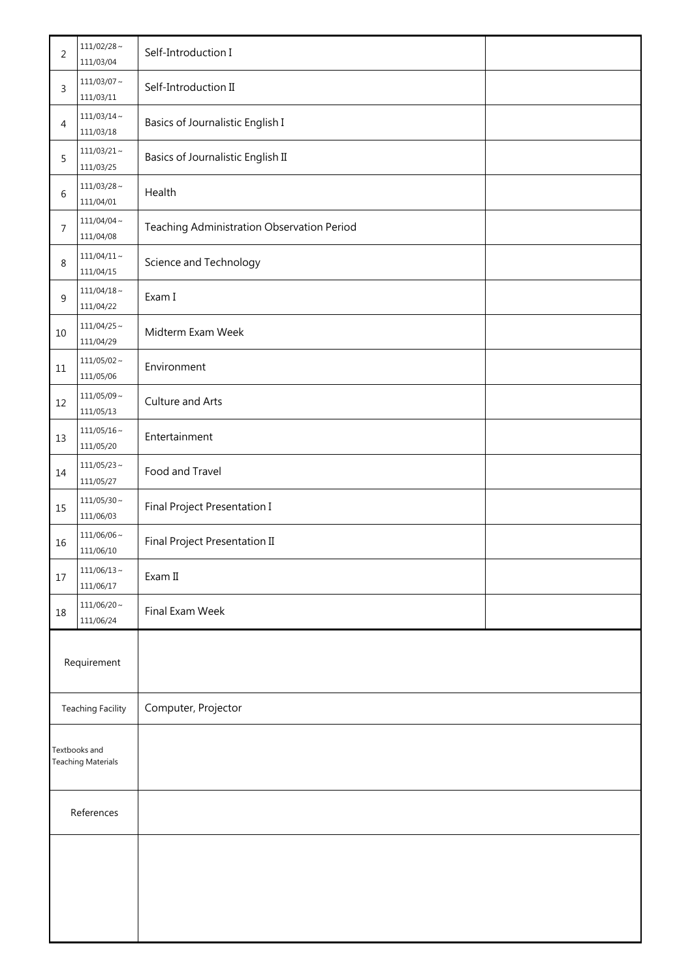| $\overline{c}$                             | $111/02/28 \sim$<br>111/03/04 | Self-Introduction I                        |  |
|--------------------------------------------|-------------------------------|--------------------------------------------|--|
| 3                                          | $111/03/07 \sim$<br>111/03/11 | Self-Introduction II                       |  |
| 4                                          | $111/03/14 \sim$<br>111/03/18 | Basics of Journalistic English I           |  |
| 5                                          | $111/03/21 \sim$<br>111/03/25 | Basics of Journalistic English II          |  |
| 6                                          | $111/03/28 \sim$<br>111/04/01 | Health                                     |  |
| 7                                          | $111/04/04 \sim$<br>111/04/08 | Teaching Administration Observation Period |  |
| 8                                          | $111/04/11 \sim$<br>111/04/15 | Science and Technology                     |  |
| 9                                          | $111/04/18 \sim$<br>111/04/22 | Exam I                                     |  |
| 10                                         | $111/04/25$ ~<br>111/04/29    | Midterm Exam Week                          |  |
| 11                                         | $111/05/02 \sim$<br>111/05/06 | Environment                                |  |
| 12                                         | $111/05/09 \sim$<br>111/05/13 | Culture and Arts                           |  |
| 13                                         | $111/05/16 \sim$<br>111/05/20 | Entertainment                              |  |
| $14$                                       | $111/05/23$ ~<br>111/05/27    | Food and Travel                            |  |
| 15                                         | $111/05/30 \sim$<br>111/06/03 | Final Project Presentation I               |  |
| 16                                         | $111/06/06$ ~<br>111/06/10    | Final Project Presentation II              |  |
| $17$                                       | $111/06/13 \sim$<br>111/06/17 | Exam II                                    |  |
| 18                                         | $111/06/20 \sim$<br>111/06/24 | Final Exam Week                            |  |
| Requirement                                |                               |                                            |  |
| <b>Teaching Facility</b>                   |                               | Computer, Projector                        |  |
| Textbooks and<br><b>Teaching Materials</b> |                               |                                            |  |
| References                                 |                               |                                            |  |
|                                            |                               |                                            |  |
|                                            |                               |                                            |  |
|                                            |                               |                                            |  |
|                                            |                               |                                            |  |